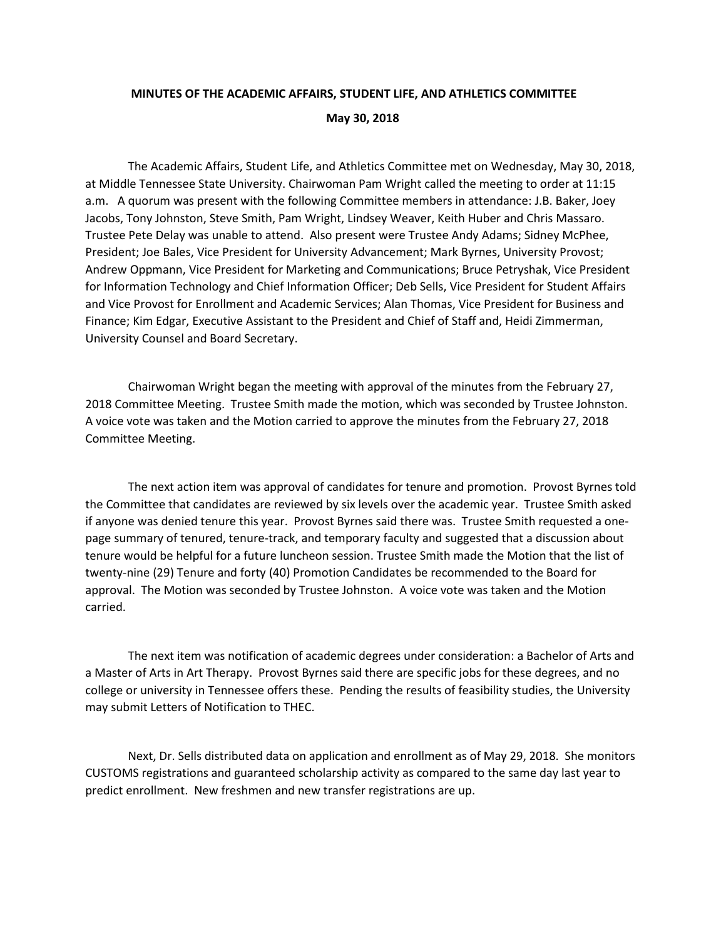## **MINUTES OF THE ACADEMIC AFFAIRS, STUDENT LIFE, AND ATHLETICS COMMITTEE May 30, 2018**

The Academic Affairs, Student Life, and Athletics Committee met on Wednesday, May 30, 2018, at Middle Tennessee State University. Chairwoman Pam Wright called the meeting to order at 11:15 a.m. A quorum was present with the following Committee members in attendance: J.B. Baker, Joey Jacobs, Tony Johnston, Steve Smith, Pam Wright, Lindsey Weaver, Keith Huber and Chris Massaro. Trustee Pete Delay was unable to attend. Also present were Trustee Andy Adams; Sidney McPhee, President; Joe Bales, Vice President for University Advancement; Mark Byrnes, University Provost; Andrew Oppmann, Vice President for Marketing and Communications; Bruce Petryshak, Vice President for Information Technology and Chief Information Officer; Deb Sells, Vice President for Student Affairs and Vice Provost for Enrollment and Academic Services; Alan Thomas, Vice President for Business and Finance; Kim Edgar, Executive Assistant to the President and Chief of Staff and, Heidi Zimmerman, University Counsel and Board Secretary.

Chairwoman Wright began the meeting with approval of the minutes from the February 27, 2018 Committee Meeting. Trustee Smith made the motion, which was seconded by Trustee Johnston. A voice vote was taken and the Motion carried to approve the minutes from the February 27, 2018 Committee Meeting.

The next action item was approval of candidates for tenure and promotion. Provost Byrnes told the Committee that candidates are reviewed by six levels over the academic year. Trustee Smith asked if anyone was denied tenure this year. Provost Byrnes said there was. Trustee Smith requested a onepage summary of tenured, tenure-track, and temporary faculty and suggested that a discussion about tenure would be helpful for a future luncheon session. Trustee Smith made the Motion that the list of twenty-nine (29) Tenure and forty (40) Promotion Candidates be recommended to the Board for approval. The Motion was seconded by Trustee Johnston. A voice vote was taken and the Motion carried.

The next item was notification of academic degrees under consideration: a Bachelor of Arts and a Master of Arts in Art Therapy. Provost Byrnes said there are specific jobs for these degrees, and no college or university in Tennessee offers these. Pending the results of feasibility studies, the University may submit Letters of Notification to THEC.

Next, Dr. Sells distributed data on application and enrollment as of May 29, 2018. She monitors CUSTOMS registrations and guaranteed scholarship activity as compared to the same day last year to predict enrollment. New freshmen and new transfer registrations are up.